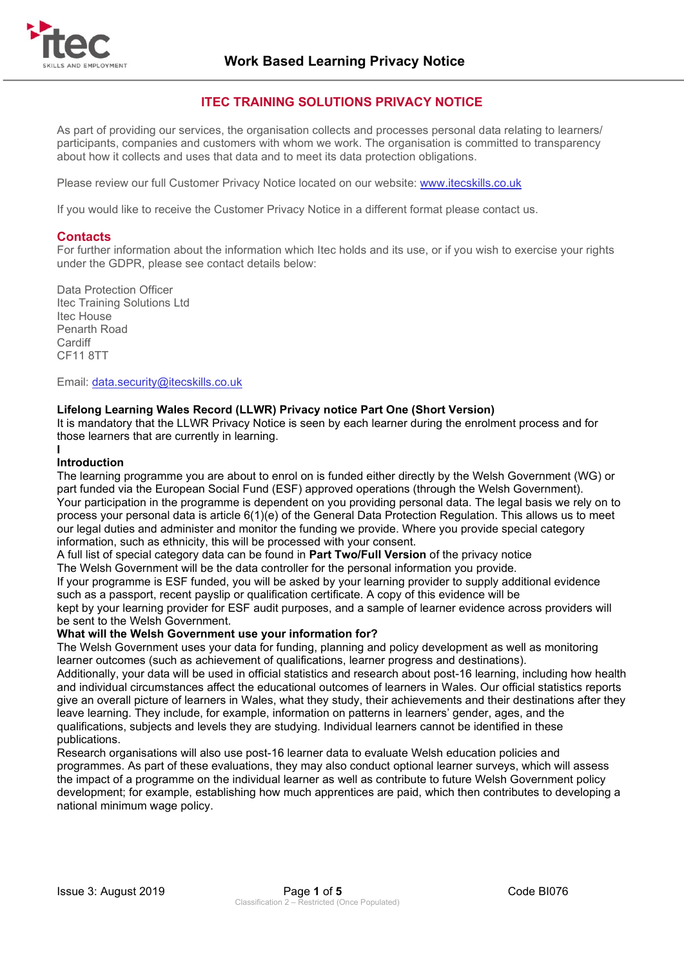

# **ITEC TRAINING SOLUTIONS PRIVACY NOTICE**

As part of providing our services, the organisation collects and processes personal data relating to learners/ participants, companies and customers with whom we work. The organisation is committed to transparency about how it collects and uses that data and to meet its data protection obligations.

Please review our full Customer Privacy Notice located on our website: [www.itecskills.co.uk](http://www.itecskills.co.uk/)

If you would like to receive the Customer Privacy Notice in a different format please contact us.

### **Contacts**

For further information about the information which Itec holds and its use, or if you wish to exercise your rights under the GDPR, please see contact details below:

Data Protection Officer Itec Training Solutions Ltd Itec House Penarth Road **Cardiff** CF11 8TT

Email: [data.security@itecskills.co.uk](mailto:data.security@itecskills.co.uk)

# **Lifelong Learning Wales Record (LLWR) Privacy notice Part One (Short Version)**

It is mandatory that the LLWR Privacy Notice is seen by each learner during the enrolment process and for those learners that are currently in learning.

#### **I Introduction**

The learning programme you are about to enrol on is funded either directly by the Welsh Government (WG) or part funded via the European Social Fund (ESF) approved operations (through the Welsh Government). Your participation in the programme is dependent on you providing personal data. The legal basis we rely on to process your personal data is article 6(1)(e) of the General Data Protection Regulation. This allows us to meet our legal duties and administer and monitor the funding we provide. Where you provide special category information, such as ethnicity, this will be processed with your consent.

A full list of special category data can be found in **Part Two/Full Version** of the privacy notice

The Welsh Government will be the data controller for the personal information you provide.

If your programme is ESF funded, you will be asked by your learning provider to supply additional evidence such as a passport, recent payslip or qualification certificate. A copy of this evidence will be

kept by your learning provider for ESF audit purposes, and a sample of learner evidence across providers will be sent to the Welsh Government.

### **What will the Welsh Government use your information for?**

The Welsh Government uses your data for funding, planning and policy development as well as monitoring learner outcomes (such as achievement of qualifications, learner progress and destinations).

Additionally, your data will be used in official statistics and research about post-16 learning, including how health and individual circumstances affect the educational outcomes of learners in Wales. Our official statistics reports give an overall picture of learners in Wales, what they study, their achievements and their destinations after they leave learning. They include, for example, information on patterns in learners' gender, ages, and the qualifications, subjects and levels they are studying. Individual learners cannot be identified in these publications.

Research organisations will also use post-16 learner data to evaluate Welsh education policies and programmes. As part of these evaluations, they may also conduct optional learner surveys, which will assess the impact of a programme on the individual learner as well as contribute to future Welsh Government policy development; for example, establishing how much apprentices are paid, which then contributes to developing a national minimum wage policy.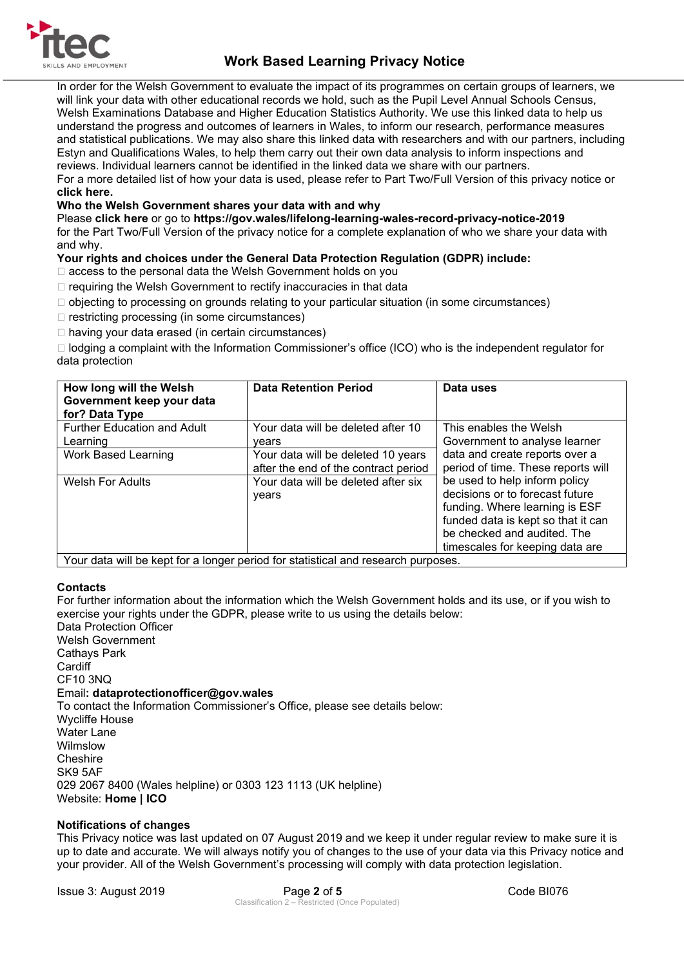

# **Work Based Learning Privacy Notice**

In order for the Welsh Government to evaluate the impact of its programmes on certain groups of learners, we will link your data with other educational records we hold, such as the Pupil Level Annual Schools Census, Welsh Examinations Database and Higher Education Statistics Authority. We use this linked data to help us understand the progress and outcomes of learners in Wales, to inform our research, performance measures and statistical publications. We may also share this linked data with researchers and with our partners, including Estyn and Qualifications Wales, to help them carry out their own data analysis to inform inspections and reviews. Individual learners cannot be identified in the linked data we share with our partners.

For a more detailed list of how your data is used, please refer to Part Two/Full Version of this privacy notice or **click here.** 

# **Who the Welsh Government shares your data with and why**

Please **click here** or go to **https://gov.wales/lifelong-learning-wales-record-privacy-notice-2019**  for the Part Two/Full Version of the privacy notice for a complete explanation of who we share your data with and why.

# **Your rights and choices under the General Data Protection Regulation (GDPR) include:**

- □ access to the personal data the Welsh Government holds on you
- $\Box$  requiring the Welsh Government to rectify inaccuracies in that data
- $\Box$  objecting to processing on grounds relating to your particular situation (in some circumstances)
- $\Box$  restricting processing (in some circumstances)
- □ having your data erased (in certain circumstances)

 $\Box$  lodging a complaint with the Information Commissioner's office (ICO) who is the independent regulator for data protection

| How long will the Welsh<br>Government keep your data<br>for? Data Type | <b>Data Retention Period</b>                                               | Data uses                                                                                                                                                                                                  |
|------------------------------------------------------------------------|----------------------------------------------------------------------------|------------------------------------------------------------------------------------------------------------------------------------------------------------------------------------------------------------|
| <b>Further Education and Adult</b><br>Learning                         | Your data will be deleted after 10<br>vears                                | This enables the Welsh<br>Government to analyse learner                                                                                                                                                    |
| Work Based Learning                                                    | Your data will be deleted 10 years<br>after the end of the contract period | data and create reports over a<br>period of time. These reports will                                                                                                                                       |
| <b>Welsh For Adults</b>                                                | Your data will be deleted after six<br>years                               | be used to help inform policy<br>decisions or to forecast future<br>funding. Where learning is ESF<br>funded data is kept so that it can<br>be checked and audited. The<br>timescales for keeping data are |

Your data will be kept for a longer period for statistical and research purposes.

# **Contacts**

For further information about the information which the Welsh Government holds and its use, or if you wish to exercise your rights under the GDPR, please write to us using the details below:

Data Protection Officer Welsh Government Cathays Park **Cardiff** CF10 3NQ Email**: dataprotectionofficer@gov.wales**  To contact the Information Commissioner's Office, please see details below: Wycliffe House Water Lane Wilmslow **Cheshire** SK9 5AF 029 2067 8400 (Wales helpline) or 0303 123 1113 (UK helpline) Website: **Home | ICO** 

# **Notifications of changes**

This Privacy notice was last updated on 07 August 2019 and we keep it under regular review to make sure it is up to date and accurate. We will always notify you of changes to the use of your data via this Privacy notice and your provider. All of the Welsh Government's processing will comply with data protection legislation.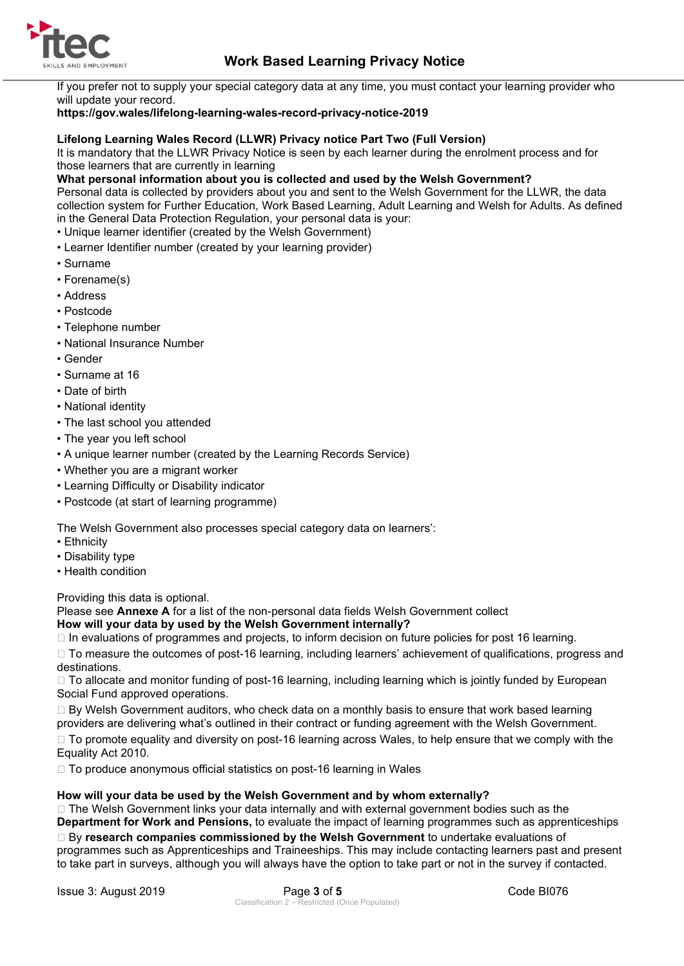

# **Work Based Learning Privacy Notice**

If you prefer not to supply your special category data at any time, you must contact your learning provider who will update your record.

# **https://gov.wales/lifelong-learning-wales-record-privacy-notice-2019**

### **Lifelong Learning Wales Record (LLWR) Privacy notice Part Two (Full Version)**

It is mandatory that the LLWR Privacy Notice is seen by each learner during the enrolment process and for those learners that are currently in learning

#### **What personal information about you is collected and used by the Welsh Government?**

Personal data is collected by providers about you and sent to the Welsh Government for the LLWR, the data collection system for Further Education, Work Based Learning, Adult Learning and Welsh for Adults. As defined in the General Data Protection Regulation, your personal data is your:

- Unique learner identifier (created by the Welsh Government)
- Learner Identifier number (created by your learning provider)
- Surname
- Forename(s)
- Address
- Postcode
- Telephone number
- National Insurance Number
- Gender
- Surname at 16
- Date of birth
- National identity
- The last school you attended
- The year you left school
- A unique learner number (created by the Learning Records Service)
- Whether you are a migrant worker
- Learning Difficulty or Disability indicator
- Postcode (at start of learning programme)

The Welsh Government also processes special category data on learners':

- Ethnicity
- Disability type
- Health condition

Providing this data is optional.

Please see **Annexe A** for a list of the non-personal data fields Welsh Government collect

# **How will your data by used by the Welsh Government internally?**

 $\Box$  In evaluations of programmes and projects, to inform decision on future policies for post 16 learning.

□ To measure the outcomes of post-16 learning, including learners' achievement of qualifications, progress and destinations.

□ To allocate and monitor funding of post-16 learning, including learning which is jointly funded by European Social Fund approved operations.

 $\Box$  By Welsh Government auditors, who check data on a monthly basis to ensure that work based learning providers are delivering what's outlined in their contract or funding agreement with the Welsh Government.

□ To promote equality and diversity on post-16 learning across Wales, to help ensure that we comply with the Equality Act 2010.

□ To produce anonymous official statistics on post-16 learning in Wales

### **How will your data be used by the Welsh Government and by whom externally?**

□ The Welsh Government links your data internally and with external government bodies such as the **Department for Work and Pensions,** to evaluate the impact of learning programmes such as apprenticeships By **research companies commissioned by the Welsh Government** to undertake evaluations of programmes such as Apprenticeships and Traineeships. This may include contacting learners past and present to take part in surveys, although you will always have the option to take part or not in the survey if contacted.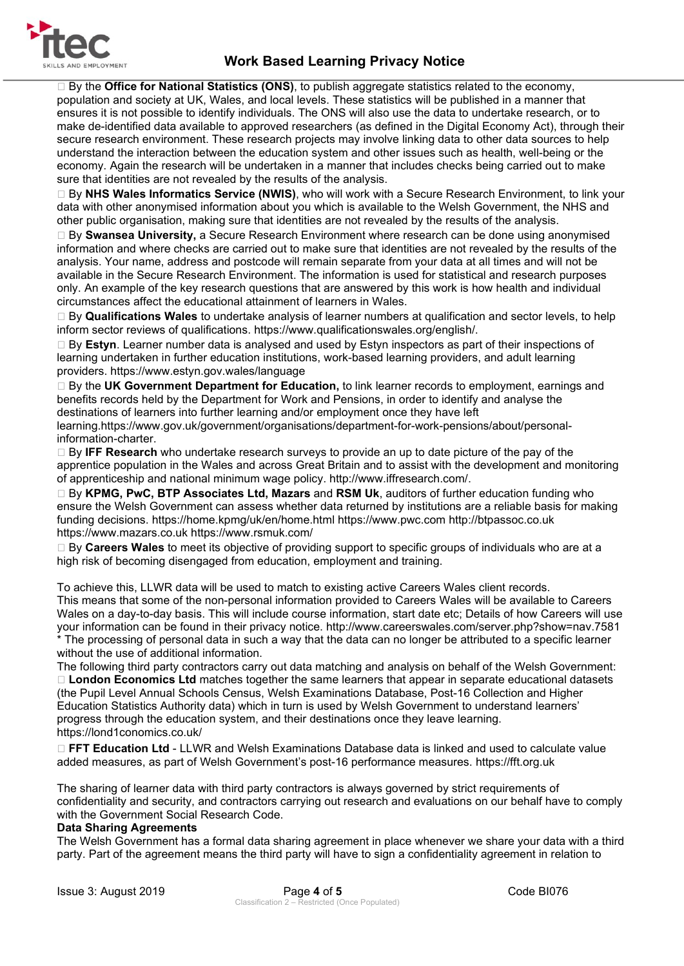

 By the **Office for National Statistics (ONS)**, to publish aggregate statistics related to the economy, population and society at UK, Wales, and local levels. These statistics will be published in a manner that ensures it is not possible to identify individuals. The ONS will also use the data to undertake research, or to make de-identified data available to approved researchers (as defined in the Digital Economy Act), through their secure research environment. These research projects may involve linking data to other data sources to help understand the interaction between the education system and other issues such as health, well-being or the economy. Again the research will be undertaken in a manner that includes checks being carried out to make sure that identities are not revealed by the results of the analysis.

 By **NHS Wales Informatics Service (NWIS)**, who will work with a Secure Research Environment, to link your data with other anonymised information about you which is available to the Welsh Government, the NHS and other public organisation, making sure that identities are not revealed by the results of the analysis.

 By **Swansea University,** a Secure Research Environment where research can be done using anonymised information and where checks are carried out to make sure that identities are not revealed by the results of the analysis. Your name, address and postcode will remain separate from your data at all times and will not be available in the Secure Research Environment. The information is used for statistical and research purposes only. An example of the key research questions that are answered by this work is how health and individual circumstances affect the educational attainment of learners in Wales.

 By **Qualifications Wales** to undertake analysis of learner numbers at qualification and sector levels, to help inform sector reviews of qualifications. https://www.qualificationswales.org/english/.

 By **Estyn**. Learner number data is analysed and used by Estyn inspectors as part of their inspections of learning undertaken in further education institutions, work-based learning providers, and adult learning providers. https://www.estyn.gov.wales/language

 By the **UK Government Department for Education,** to link learner records to employment, earnings and benefits records held by the Department for Work and Pensions, in order to identify and analyse the destinations of learners into further learning and/or employment once they have left

learning.https://www.gov.uk/government/organisations/department-for-work-pensions/about/personalinformation-charter.

 By **IFF Research** who undertake research surveys to provide an up to date picture of the pay of the apprentice population in the Wales and across Great Britain and to assist with the development and monitoring of apprenticeship and national minimum wage policy. http://www.iffresearch.com/.

 By **KPMG, PwC, BTP Associates Ltd, Mazars** and **RSM Uk**, auditors of further education funding who ensure the Welsh Government can assess whether data returned by institutions are a reliable basis for making funding decisions. https://home.kpmg/uk/en/home.html https://www.pwc.com http://btpassoc.co.uk https://www.mazars.co.uk https://www.rsmuk.com/

 By **Careers Wales** to meet its objective of providing support to specific groups of individuals who are at a high risk of becoming disengaged from education, employment and training.

To achieve this, LLWR data will be used to match to existing active Careers Wales client records. This means that some of the non-personal information provided to Careers Wales will be available to Careers Wales on a day-to-day basis. This will include course information, start date etc; Details of how Careers will use your information can be found in their privacy notice. http://www.careerswales.com/server.php?show=nav.7581 \* The processing of personal data in such a way that the data can no longer be attributed to a specific learner without the use of additional information.

The following third party contractors carry out data matching and analysis on behalf of the Welsh Government: **London Economics Ltd** matches together the same learners that appear in separate educational datasets (the Pupil Level Annual Schools Census, Welsh Examinations Database, Post-16 Collection and Higher Education Statistics Authority data) which in turn is used by Welsh Government to understand learners' progress through the education system, and their destinations once they leave learning. https://lond1conomics.co.uk/

 **FFT Education Ltd** - LLWR and Welsh Examinations Database data is linked and used to calculate value added measures, as part of Welsh Government's post-16 performance measures. https://fft.org.uk

The sharing of learner data with third party contractors is always governed by strict requirements of confidentiality and security, and contractors carrying out research and evaluations on our behalf have to comply with the Government Social Research Code.

# **Data Sharing Agreements**

The Welsh Government has a formal data sharing agreement in place whenever we share your data with a third party. Part of the agreement means the third party will have to sign a confidentiality agreement in relation to